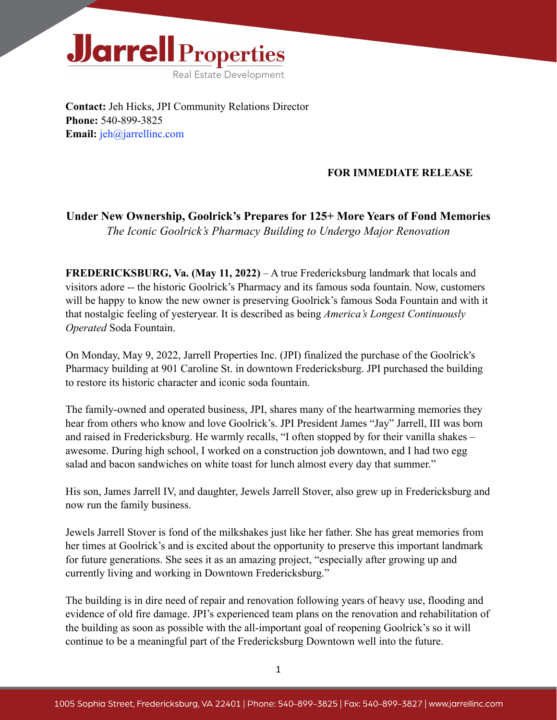

**Contact:** Jeh Hicks, JPI Community Relations Director **Phone:** 540-899-3825 **Email:** [jeh@jarrellinc.com](mailto:jeh@jarrellinc.com)

## **FOR IMMEDIATE RELEASE**

## **Under New Ownership, Goolrick's Prepares for 125+ More Years of Fond Memories** *The Iconic Goolrick's Pharmacy Building to Undergo Major Renovation*

**FREDERICKSBURG, Va. (May 11, 2022)** – A true Fredericksburg landmark that locals and visitors adore -- the historic Goolrick's Pharmacy and its famous soda fountain. Now, customers will be happy to know the new owner is preserving Goolrick's famous Soda Fountain and with it that nostalgic feeling of yesteryear. It is described as being *America's Longest Continuously Operated* Soda Fountain.

On Monday, May 9, 2022, Jarrell Properties Inc. (JPI) finalized the purchase of the Goolrick's Pharmacy building at 901 Caroline St. in downtown Fredericksburg. JPI purchased the building to restore its historic character and iconic soda fountain.

The family-owned and operated business, JPI, shares many of the heartwarming memories they hear from others who know and love Goolrick's. JPI President James "Jay" Jarrell, III was born and raised in Fredericksburg. He warmly recalls, "I often stopped by for their vanilla shakes – awesome. During high school, I worked on a construction job downtown, and I had two egg salad and bacon sandwiches on white toast for lunch almost every day that summer."

His son, James Jarrell IV, and daughter, Jewels Jarrell Stover, also grew up in Fredericksburg and now run the family business.

Jewels Jarrell Stover is fond of the milkshakes just like her father. She has great memories from her times at Goolrick's and is excited about the opportunity to preserve this important landmark for future generations. She sees it as an amazing project, "especially after growing up and currently living and working in Downtown Fredericksburg."

The building is in dire need of repair and renovation following years of heavy use, flooding and evidence of old fire damage. JPI's experienced team plans on the renovation and rehabilitation of the building as soon as possible with the all-important goal of reopening Goolrick's so it will continue to be a meaningful part of the Fredericksburg Downtown well into the future.